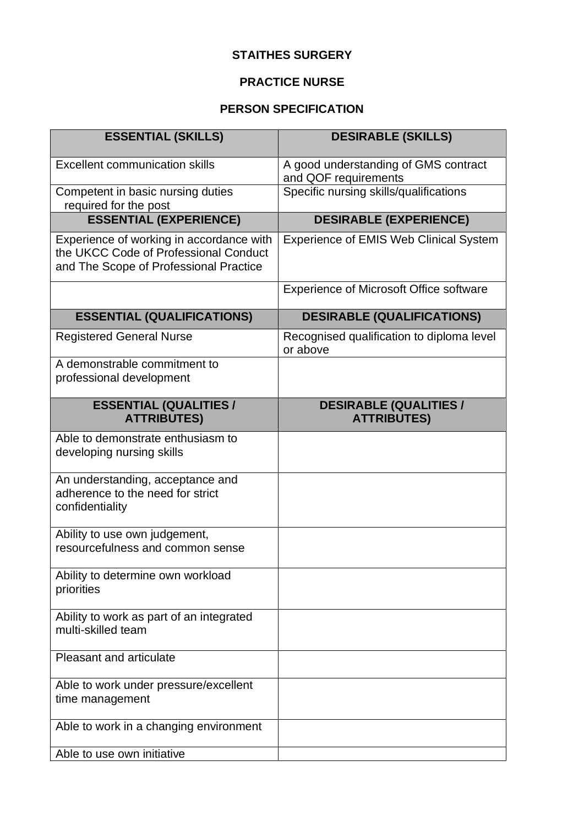## **STAITHES SURGERY**

## **PRACTICE NURSE**

## **PERSON SPECIFICATION**

| <b>ESSENTIAL (SKILLS)</b>                                                                                                   | <b>DESIRABLE (SKILLS)</b>                                    |
|-----------------------------------------------------------------------------------------------------------------------------|--------------------------------------------------------------|
| <b>Excellent communication skills</b>                                                                                       | A good understanding of GMS contract<br>and QOF requirements |
| Competent in basic nursing duties<br>required for the post                                                                  | Specific nursing skills/qualifications                       |
| <b>ESSENTIAL (EXPERIENCE)</b>                                                                                               | <b>DESIRABLE (EXPERIENCE)</b>                                |
| Experience of working in accordance with<br>the UKCC Code of Professional Conduct<br>and The Scope of Professional Practice | <b>Experience of EMIS Web Clinical System</b>                |
|                                                                                                                             | <b>Experience of Microsoft Office software</b>               |
| <b>ESSENTIAL (QUALIFICATIONS)</b>                                                                                           | <b>DESIRABLE (QUALIFICATIONS)</b>                            |
| <b>Registered General Nurse</b>                                                                                             | Recognised qualification to diploma level<br>or above        |
| A demonstrable commitment to<br>professional development                                                                    |                                                              |
| <b>ESSENTIAL (QUALITIES /</b><br><b>ATTRIBUTES)</b>                                                                         | <b>DESIRABLE (QUALITIES /</b><br><b>ATTRIBUTES)</b>          |
| Able to demonstrate enthusiasm to<br>developing nursing skills                                                              |                                                              |
| An understanding, acceptance and<br>adherence to the need for strict<br>confidentiality                                     |                                                              |
| Ability to use own judgement,<br>resourcefulness and common sense                                                           |                                                              |
| Ability to determine own workload<br>priorities                                                                             |                                                              |
| Ability to work as part of an integrated<br>multi-skilled team                                                              |                                                              |
| <b>Pleasant and articulate</b>                                                                                              |                                                              |
| Able to work under pressure/excellent<br>time management                                                                    |                                                              |
| Able to work in a changing environment                                                                                      |                                                              |
| Able to use own initiative                                                                                                  |                                                              |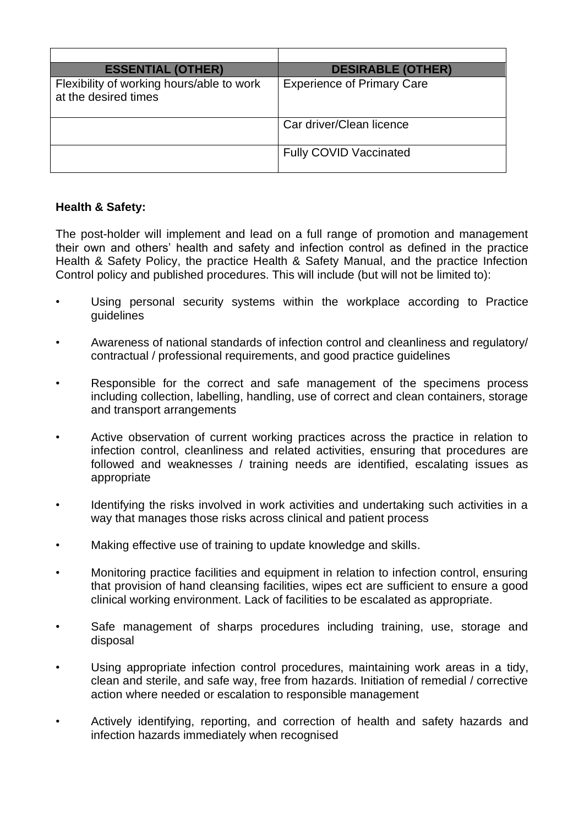| <b>ESSENTIAL (OTHER)</b>                                          | <b>DESIRABLE (OTHER)</b>          |
|-------------------------------------------------------------------|-----------------------------------|
| Flexibility of working hours/able to work<br>at the desired times | <b>Experience of Primary Care</b> |
|                                                                   | Car driver/Clean licence          |
|                                                                   | <b>Fully COVID Vaccinated</b>     |

## **Health & Safety:**

The post-holder will implement and lead on a full range of promotion and management their own and others' health and safety and infection control as defined in the practice Health & Safety Policy, the practice Health & Safety Manual, and the practice Infection Control policy and published procedures. This will include (but will not be limited to):

- Using personal security systems within the workplace according to Practice guidelines
- Awareness of national standards of infection control and cleanliness and regulatory/ contractual / professional requirements, and good practice guidelines
- Responsible for the correct and safe management of the specimens process including collection, labelling, handling, use of correct and clean containers, storage and transport arrangements
- Active observation of current working practices across the practice in relation to infection control, cleanliness and related activities, ensuring that procedures are followed and weaknesses / training needs are identified, escalating issues as appropriate
- Identifying the risks involved in work activities and undertaking such activities in a way that manages those risks across clinical and patient process
- Making effective use of training to update knowledge and skills.
- Monitoring practice facilities and equipment in relation to infection control, ensuring that provision of hand cleansing facilities, wipes ect are sufficient to ensure a good clinical working environment. Lack of facilities to be escalated as appropriate.
- Safe management of sharps procedures including training, use, storage and disposal
- Using appropriate infection control procedures, maintaining work areas in a tidy, clean and sterile, and safe way, free from hazards. Initiation of remedial / corrective action where needed or escalation to responsible management
- Actively identifying, reporting, and correction of health and safety hazards and infection hazards immediately when recognised